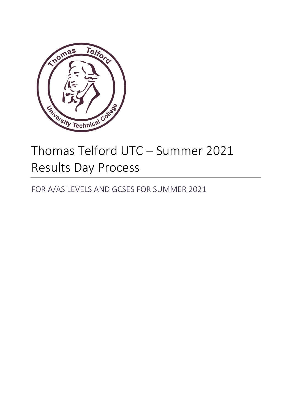

# Thomas Telford UTC – Summer 2021 Results Day Process

FOR A/AS LEVELS AND GCSES FOR SUMMER 2021